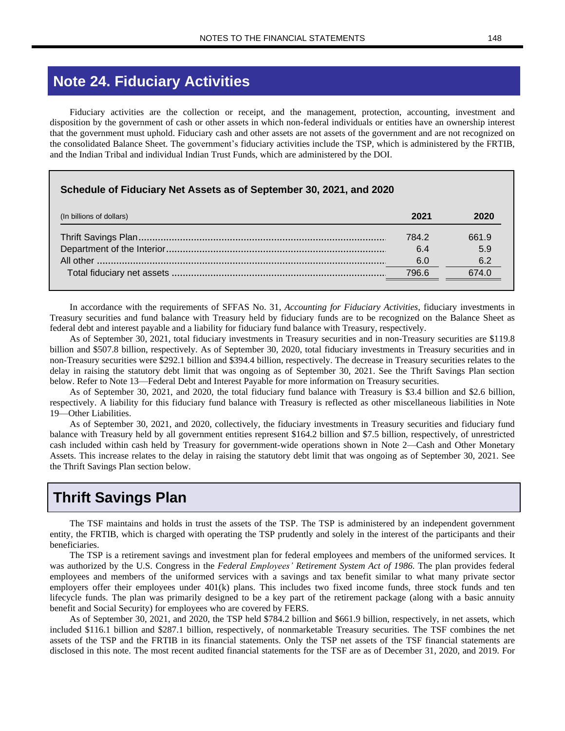# **Note 24. Fiduciary Activities**

Fiduciary activities are the collection or receipt, and the management, protection, accounting, investment and disposition by the government of cash or other assets in which non-federal individuals or entities have an ownership interest that the government must uphold. Fiduciary cash and other assets are not assets of the government and are not recognized on the consolidated Balance Sheet. The government's fiduciary activities include the TSP, which is administered by the FRTIB, and the Indian Tribal and individual Indian Trust Funds, which are administered by the DOI.

#### **Schedule of Fiduciary Net Assets as of September 30, 2021, and 2020**

| (In billions of dollars) | 2021  | 2020  |
|--------------------------|-------|-------|
|                          | 784.2 | 661.9 |
|                          | 6.4   | 5.9   |
|                          | 60    |       |
|                          | 796.6 | 674.0 |
|                          |       |       |

In accordance with the requirements of SFFAS No. 31, *Accounting for Fiduciary Activities,* fiduciary investments in Treasury securities and fund balance with Treasury held by fiduciary funds are to be recognized on the Balance Sheet as federal debt and interest payable and a liability for fiduciary fund balance with Treasury, respectively.

As of September 30, 2021, total fiduciary investments in Treasury securities and in non-Treasury securities are \$119.8 billion and \$507.8 billion, respectively. As of September 30, 2020, total fiduciary investments in Treasury securities and in non-Treasury securities were \$292.1 billion and \$394.4 billion, respectively. The decrease in Treasury securities relates to the delay in raising the statutory debt limit that was ongoing as of September 30, 2021. See the Thrift Savings Plan section below. Refer to Note 13—Federal Debt and Interest Payable for more information on Treasury securities.

As of September 30, 2021, and 2020, the total fiduciary fund balance with Treasury is \$3.4 billion and \$2.6 billion, respectively. A liability for this fiduciary fund balance with Treasury is reflected as other miscellaneous liabilities in Note 19—Other Liabilities.

As of September 30, 2021, and 2020, collectively, the fiduciary investments in Treasury securities and fiduciary fund balance with Treasury held by all government entities represent \$164.2 billion and \$7.5 billion, respectively, of unrestricted cash included within cash held by Treasury for government-wide operations shown in Note 2—Cash and Other Monetary Assets. This increase relates to the delay in raising the statutory debt limit that was ongoing as of September 30, 2021. See the Thrift Savings Plan section below.

## **Thrift Savings Plan**

The TSF maintains and holds in trust the assets of the TSP. The TSP is administered by an independent government entity, the FRTIB, which is charged with operating the TSP prudently and solely in the interest of the participants and their beneficiaries.

The TSP is a retirement savings and investment plan for federal employees and members of the uniformed services. It was authorized by the U.S. Congress in the *Federal Employees' Retirement System Act of 1986*. The plan provides federal employees and members of the uniformed services with a savings and tax benefit similar to what many private sector employers offer their employees under 401(k) plans. This includes two fixed income funds, three stock funds and ten lifecycle funds. The plan was primarily designed to be a key part of the retirement package (along with a basic annuity benefit and Social Security) for employees who are covered by FERS.

As of September 30, 2021, and 2020, the TSP held \$784.2 billion and \$661.9 billion, respectively, in net assets, which included \$116.1 billion and \$287.1 billion, respectively, of nonmarketable Treasury securities. The TSF combines the net assets of the TSP and the FRTIB in its financial statements. Only the TSP net assets of the TSF financial statements are disclosed in this note. The most recent audited financial statements for the TSF are as of December 31, 2020, and 2019. For